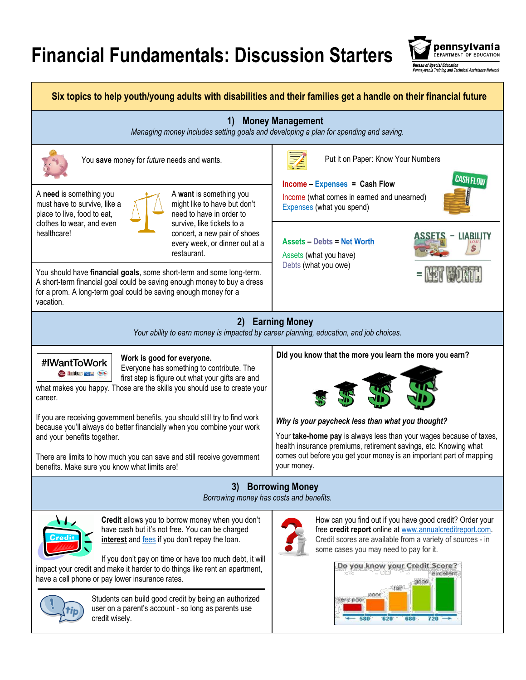## **Financial Fundamentals: Discussion Starters**

pennsylvania DEPARTMENT OF EDUCATION u af Snecial Education